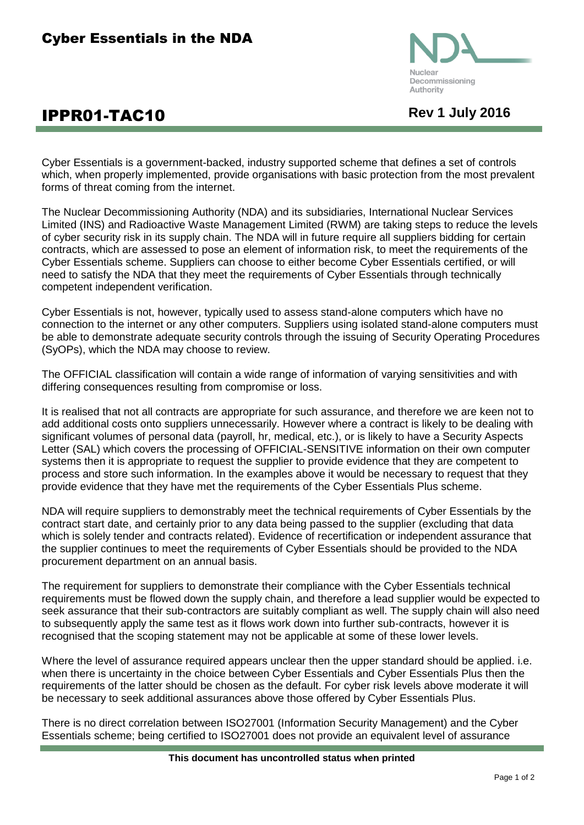

## **IPPR01-TAC10** Rev 1 July 2016

Cyber Essentials is a government-backed, industry supported scheme that defines a set of controls which, when properly implemented, provide organisations with basic protection from the most prevalent forms of threat coming from the internet.

The Nuclear Decommissioning Authority (NDA) and its subsidiaries, International Nuclear Services Limited (INS) and Radioactive Waste Management Limited (RWM) are taking steps to reduce the levels of cyber security risk in its supply chain. The NDA will in future require all suppliers bidding for certain contracts, which are assessed to pose an element of information risk, to meet the requirements of the Cyber Essentials scheme. Suppliers can choose to either become Cyber Essentials certified, or will need to satisfy the NDA that they meet the requirements of Cyber Essentials through technically competent independent verification.

Cyber Essentials is not, however, typically used to assess stand-alone computers which have no connection to the internet or any other computers. Suppliers using isolated stand-alone computers must be able to demonstrate adequate security controls through the issuing of Security Operating Procedures (SyOPs), which the NDA may choose to review.

The OFFICIAL classification will contain a wide range of information of varying sensitivities and with differing consequences resulting from compromise or loss.

It is realised that not all contracts are appropriate for such assurance, and therefore we are keen not to add additional costs onto suppliers unnecessarily. However where a contract is likely to be dealing with significant volumes of personal data (payroll, hr, medical, etc.), or is likely to have a Security Aspects Letter (SAL) which covers the processing of OFFICIAL-SENSITIVE information on their own computer systems then it is appropriate to request the supplier to provide evidence that they are competent to process and store such information. In the examples above it would be necessary to request that they provide evidence that they have met the requirements of the Cyber Essentials Plus scheme.

NDA will require suppliers to demonstrably meet the technical requirements of Cyber Essentials by the contract start date, and certainly prior to any data being passed to the supplier (excluding that data which is solely tender and contracts related). Evidence of recertification or independent assurance that the supplier continues to meet the requirements of Cyber Essentials should be provided to the NDA procurement department on an annual basis.

The requirement for suppliers to demonstrate their compliance with the Cyber Essentials technical requirements must be flowed down the supply chain, and therefore a lead supplier would be expected to seek assurance that their sub-contractors are suitably compliant as well. The supply chain will also need to subsequently apply the same test as it flows work down into further sub-contracts, however it is recognised that the scoping statement may not be applicable at some of these lower levels.

Where the level of assurance required appears unclear then the upper standard should be applied. i.e. when there is uncertainty in the choice between Cyber Essentials and Cyber Essentials Plus then the requirements of the latter should be chosen as the default. For cyber risk levels above moderate it will be necessary to seek additional assurances above those offered by Cyber Essentials Plus.

There is no direct correlation between ISO27001 (Information Security Management) and the Cyber Essentials scheme; being certified to ISO27001 does not provide an equivalent level of assurance